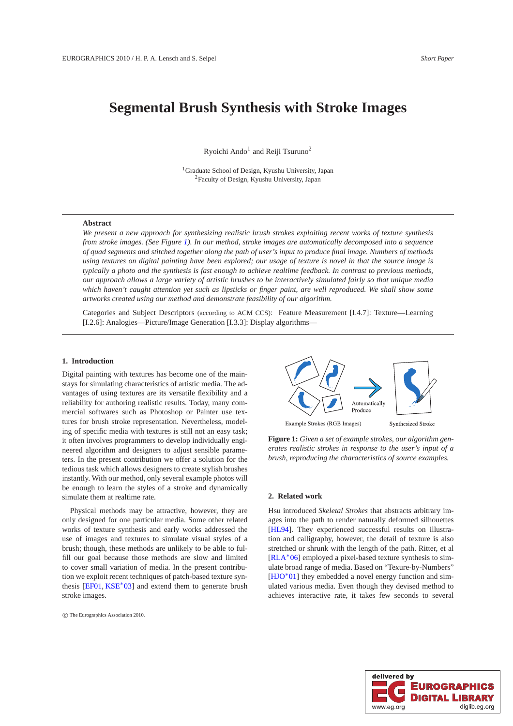# **Segmental Brush Synthesis with Stroke Images**

Ryoichi Ando<sup>1</sup> and Reiji Tsuruno<sup>2</sup>

<sup>1</sup>Graduate School of Design, Kyushu University, Japan <sup>2</sup>Faculty of Design, Kyushu University, Japan

# **Abstract**

*We present a new approach for synthesizing realistic brush strokes exploiting recent works of texture synthesis from stroke images. (See Figure [1\)](#page-0-0). In our method, stroke images are automatically decomposed into a sequence of quad segments and stitched together along the path of user's input to produce final image. Numbers of methods using textures on digital painting have been explored; our usage of texture is novel in that the source image is typically a photo and the synthesis is fast enough to achieve realtime feedback. In contrast to previous methods, our approach allows a large variety of artistic brushes to be interactively simulated fairly so that unique media which haven't caught attention yet such as lipsticks or finger paint, are well reproduced. We shall show some artworks created using our method and demonstrate feasibility of our algorithm.*

Categories and Subject Descriptors (according to ACM CCS): Feature Measurement [I.4.7]: Texture—Learning [I.2.6]: Analogies—Picture/Image Generation [I.3.3]: Display algorithms—

# **1. Introduction**

Digital painting with textures has become one of the mainstays for simulating characteristics of artistic media. The advantages of using textures are its versatile flexibility and a reliability for authoring realistic results. Today, many commercial softwares such as Photoshop or Painter use textures for brush stroke representation. Nevertheless, modeling of specific media with textures is still not an easy task; it often involves programmers to develop individually engineered algorithm and designers to adjust sensible parameters. In the present contribution we offer a solution for the tedious task which allows designers to create stylish brushes instantly. With our method, only several example photos will be enough to learn the styles of a stroke and dynamically simulate them at realtime rate.

Physical methods may be attractive, however, they are only designed for one particular media. Some other related works of texture synthesis and early works addressed the use of images and textures to simulate visual styles of a brush; though, these methods are unlikely to be able to fulfill our goal because those methods are slow and limited to cover small variation of media. In the present contribution we exploit recent techniques of patch-based texture synthesis [\[EF01,](#page-3-0) [KSE](#page-3-1)<sup>∗</sup> 03] and extend them to generate brush stroke images.

c The Eurographics Association 2010.



<span id="page-0-0"></span>**Figure 1:** *Given a set of example strokes, our algorithm generates realistic strokes in response to the user's input of a brush, reproducing the characteristics of source examples.*

# **2. Related work**

Hsu introduced *Skeletal Strokes* that abstracts arbitrary images into the path to render naturally deformed silhouettes [\[HL94\]](#page-3-2). They experienced successful results on illustration and calligraphy, however, the detail of texture is also stretched or shrunk with the length of the path. Ritter, et al [\[RLA](#page-3-3)<sup>∗</sup>06] employed a pixel-based texture synthesis to simulate broad range of media. Based on "Texure-by-Numbers" [\[HJO](#page-3-4)<sup>\*</sup>01] they embedded a novel energy function and simulated various media. Even though they devised method to achieves interactive rate, it takes few seconds to several

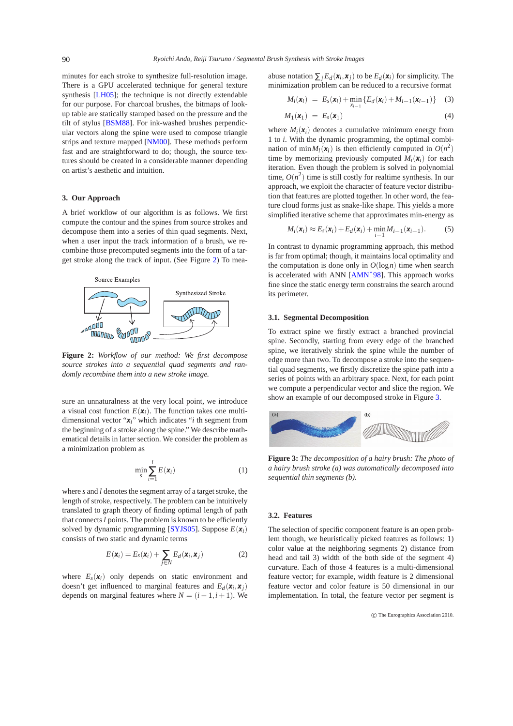minutes for each stroke to synthesize full-resolution image. There is a GPU accelerated technique for general texture synthesis [\[LH05\]](#page-3-5); the technique is not directly extendable for our purpose. For charcoal brushes, the bitmaps of lookup table are statically stamped based on the pressure and the tilt of stylus [\[BSM88\]](#page-3-6). For ink-washed brushes perpendicular vectors along the spine were used to compose triangle strips and texture mapped [\[NM00\]](#page-3-7). These methods perform fast and are straightforward to do; though, the source textures should be created in a considerable manner depending on artist's aesthetic and intuition.

#### **3. Our Approach**

A brief workflow of our algorithm is as follows. We first compute the contour and the spines from source strokes and decompose them into a series of thin quad segments. Next, when a user input the track information of a brush, we recombine those precomputed segments into the form of a target stroke along the track of input. (See Figure [2\)](#page-1-0) To mea-



<span id="page-1-0"></span>**Figure 2:** *Workflow of our method: We first decompose source strokes into a sequential quad segments and randomly recombine them into a new stroke image.*

sure an unnaturalness at the very local point, we introduce a visual cost function  $E(\mathbf{x}_i)$ . The function takes one multidimensional vector "*xi*" which indicates "*i* th segment from the beginning of a stroke along the spine." We describe mathematical details in latter section. We consider the problem as a minimization problem as

$$
\min_{s} \frac{l}{l=1} E(\boldsymbol{x}_i) \tag{1}
$$

where *s* and *l* denotes the segment array of a target stroke, the length of stroke, respectively. The problem can be intuitively translated to graph theory of finding optimal length of path that connects *l* points. The problem is known to be efficiently solved by dynamic programming [\[SYJS05\]](#page-3-8). Suppose  $E(\mathbf{x}_i)$ consists of two static and dynamic terms

$$
E(\mathbf{x}_i) = E_s(\mathbf{x}_i) + E_d(\mathbf{x}_i, \mathbf{x}_j)
$$
(2)

<span id="page-1-2"></span>where  $E_s(\mathbf{x}_i)$  only depends on static environment and doesn't get influenced to marginal features and  $E_d(\mathbf{x}_i, \mathbf{x}_j)$ depends on marginal features where  $N = (i - 1, i + 1)$ . We

abuse notation  ${}_{j}E_{d}(x_{i},x_{j})$  to be  $E_{d}(x_{i})$  for simplicity. The minimization problem can be reduced to a recursive format

$$
M_i(\bm{x}_i) = E_s(\bm{x}_i) + \min_{x_{i-1}} \{ E_d(\bm{x}_i) + M_{i-1}(\bm{x}_{i-1}) \} \quad (3)
$$

$$
M_1(\mathbf{x}_1) = E_s(\mathbf{x}_1) \tag{4}
$$

where  $M_i(\mathbf{x}_i)$  denotes a cumulative minimum energy from 1 to *i*. With the dynamic programming, the optimal combination of  $\min M_l(x_l)$  is then efficiently computed in  $O(n^2)$ time by memorizing previously computed  $M_i(x_i)$  for each iteration. Even though the problem is solved in polynomial time,  $O(n^2)$  time is still costly for realtime synthesis. In our approach, we exploit the character of feature vector distribution that features are plotted together. In other word, the feature cloud forms just as snake-like shape. This yields a more simplified iterative scheme that approximates min-energy as

$$
M_i(\mathbf{x}_i) \approx E_s(\mathbf{x}_i) + E_d(\mathbf{x}_i) + \min_{i=1} M_{i-1}(\mathbf{x}_{i-1}).
$$
 (5)

In contrast to dynamic programming approach, this method is far from optimal; though, it maintains local optimality and the computation is done only in  $O(\log n)$  time when search is accelerated with ANN  $[AMN^*98]$ . This approach works fine since the static energy term constrains the search around its perimeter.

# **3.1. Segmental Decomposition**

To extract spine we firstly extract a branched provincial spine. Secondly, starting from every edge of the branched spine, we iteratively shrink the spine while the number of edge more than two. To decompose a stroke into the sequential quad segments, we firstly discretize the spine path into a series of points with an arbitrary space. Next, for each point we compute a perpendicular vector and slice the region. We show an example of our decomposed stroke in Figure [3.](#page-1-1)



<span id="page-1-1"></span>**Figure 3:** *The decomposition of a hairy brush: The photo of a hairy brush stroke (a) was automatically decomposed into sequential thin segments (b).*

# **3.2. Features**

The selection of specific component feature is an open problem though, we heuristically picked features as follows: 1) color value at the neighboring segments 2) distance from head and tail 3) width of the both side of the segment 4) curvature. Each of those 4 features is a multi-dimensional feature vector; for example, width feature is 2 dimensional feature vector and color feature is 50 dimensional in our implementation. In total, the feature vector per segment is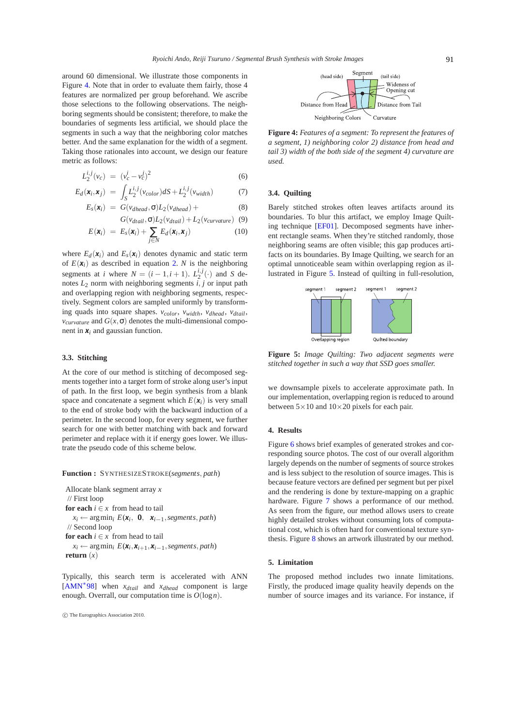around 60 dimensional. We illustrate those components in Figure [4.](#page-2-0) Note that in order to evaluate them fairly, those 4 features are normalized per group beforehand. We ascribe those selections to the following observations. The neighboring segments should be consistent; therefore, to make the boundaries of segments less artificial, we should place the segments in such a way that the neighboring color matches better. And the same explanation for the width of a segment. Taking those rationales into account, we design our feature metric as follows:

$$
L_2^{i,j}(v_c) = (v_c^i - v_c^j)^2 \tag{6}
$$

$$
E_d(\mathbf{x}_i, \mathbf{x}_j) = \int_S L_2^{i,j} (\nu_{color}) dS + L_2^{i,j} (\nu_{width}) \tag{7}
$$

$$
E_s(\mathbf{x}_i) = G(v_{dhead}, L_2(v_{dhead}) + (8)
$$

$$
G(v_{dtail}, L_2(v_{dtail}) + L_2(v_{curvature}) \quad (9)
$$

$$
E(\mathbf{x}_i) = E_s(\mathbf{x}_i) + E_d(\mathbf{x}_i, \mathbf{x}_j)
$$
(10)

where  $E_d(\mathbf{x}_i)$  and  $E_s(\mathbf{x}_i)$  denotes dynamic and static term of  $E(\mathbf{x}_i)$  as described in equation [2.](#page-1-2) *N* is the neighboring segments at *i* where  $N = (i - 1, i + 1)$ .  $L_2^{i, j}(\cdot)$  and *S* denotes  $L_2$  norm with neighboring segments  $\overline{i}$ ,  $\overline{j}$  or input path and overlapping region with neighboring segments, respectively. Segment colors are sampled uniformly by transforming quads into square shapes. *vcolor*, *vwidth*, *vdhead* , *vdtail*,  *and*  $G(x, \cdot)$  *denotes the multi-dimensional compo*nent in  $x_i$  and gaussian function.

#### **3.3. Stitching**

At the core of our method is stitching of decomposed segments together into a target form of stroke along user's input of path. In the first loop, we begin synthesis from a blank space and concatenate a segment which  $E(\mathbf{x}_i)$  is very small to the end of stroke body with the backward induction of a perimeter. In the second loop, for every segment, we further search for one with better matching with back and forward perimeter and replace with it if energy goes lower. We illustrate the pseudo code of this scheme below.

**Function :** <sup>S</sup>YNTHESIZESTROKE(*segments*, *path*)

Allocate blank segment array *x* // First loop **for each**  $i \in x$  from head to tail  $x_i \leftarrow \arg \min_i E(\mathbf{x}_i, \mathbf{0}, \mathbf{x}_{i-1},$ *segments*, *path*) // Second loop **for each**  $i \in x$  from head to tail  $x_i \leftarrow \arg \min_i E(\mathbf{x}_i, \mathbf{x}_{i+1}, \mathbf{x}_{i-1}, \text{segments}, \text{path})$ **return**  $(x)$ 

Typically, this search term is accelerated with ANN [\[AMN](#page-3-9)<sup>∗</sup> 98] when *xdtail* and *xdhead* component is large enough. Overrall, our computation time is *O*(log*n*).



<span id="page-2-0"></span>**Figure 4:** *Features of a segment: To represent the features of a segment, 1) neighboring color 2) distance from head and tail 3) width of the both side of the segment 4) curvature are used.*

# **3.4. Quilting**

Barely stitched strokes often leaves artifacts around its boundaries. To blur this artifact, we employ Image Quilting technique [\[EF01\]](#page-3-0). Decomposed segments have inherent rectangle seams. When they're stitched randomly, those neighboring seams are often visible; this gap produces artifacts on its boundaries. By Image Quilting, we search for an optimal unnoticeable seam within overlapping region as illustrated in Figure [5.](#page-2-1) Instead of quilting in full-resolution,



<span id="page-2-1"></span>**Figure 5:** *Image Quilting: Two adjacent segments were stitched together in such a way that SSD goes smaller.*

we downsample pixels to accelerate approximate path. In our implementation, overlapping region is reduced to around between  $5 \times 10$  and  $10 \times 20$  pixels for each pair.

#### **4. Results**

Figure [6](#page-3-10) shows brief examples of generated strokes and corresponding source photos. The cost of our overall algorithm largely depends on the number of segments of source strokes and is less subject to the resolution of source images. This is because feature vectors are defined per segment but per pixel and the rendering is done by texture-mapping on a graphic hardware. Figure [7](#page-3-11) shows a performance of our method. As seen from the figure, our method allows users to create highly detailed strokes without consuming lots of computational cost, which is often hard for conventional texture synthesis. Figure [8](#page-3-12) shows an artwork illustrated by our method.

#### **5. Limitation**

The proposed method includes two innate limitations. Firstly, the produced image quality heavily depends on the number of source images and its variance. For instance, if